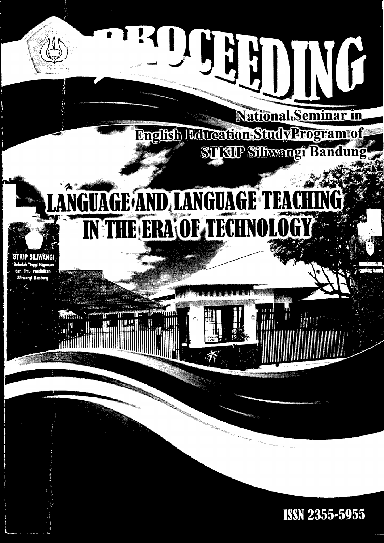# 

National.Seminar in English Education Study Program of STKIP Silkvangi Bandu

 $\mathbf{H}$   $\mathbf{H}$ 

 $\|$ 

**THEFT** 

# LANGUAGE AND LANGUAGE TEA IN THE ERA OF TECHNOLO

STKIP SILIWANG ah Tinggi Kegurua .<br>dan limu Pendidikan **liwangi Bandung** 

**ISSN 2355-5955**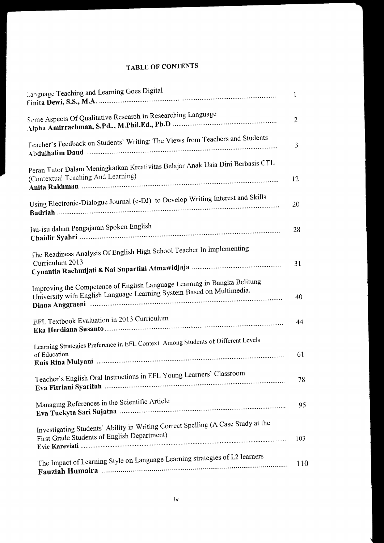## **TABLE OF CONTENTS**

| Language Teaching and Learning Goes Digital                                                                                                       | $\mathbf{1}$   |
|---------------------------------------------------------------------------------------------------------------------------------------------------|----------------|
| Some Aspects Of Qualitative Research In Researching Language                                                                                      | $\overline{2}$ |
| Teacher's Feedback on Students' Writing: The Views from Teachers and Students                                                                     | 3              |
| Peran Tutor Dalam Meningkatkan Kreativitas Belajar Anak Usia Dini Berbasis CTL<br>(Contextual Teaching And Learning)                              | 12             |
| Using Electronic-Dialogue Journal (e-DJ) to Develop Writing Interest and Skills                                                                   | 20             |
| Isu-isu dalam Pengajaran Spoken English                                                                                                           | 28             |
| The Readiness Analysis Of English High School Teacher In Implementing                                                                             |                |
| Curriculum 2013                                                                                                                                   | 31             |
| Improving the Competence of English Language Learning in Bangka Belitung<br>University with English Language Learning System Based on Multimedia. | 40             |
| EFL Textbook Evaluation in 2013 Curriculum                                                                                                        | 44             |
| Learning Strategies Preference in EFL Context Among Students of Different Levels<br>of Education                                                  | 61             |
| Teacher's English Oral Instructions in EFL Young Learners' Classroom                                                                              | 78             |
| Managing References in the Scientific Article                                                                                                     | 95             |
| Investigating Students' Ability in Writing Correct Spelling (A Case Study at the<br>First Grade Students of English Department)                   | 103            |
| The Impact of Learning Style on Language Learning strategies of L2 learners                                                                       | 110            |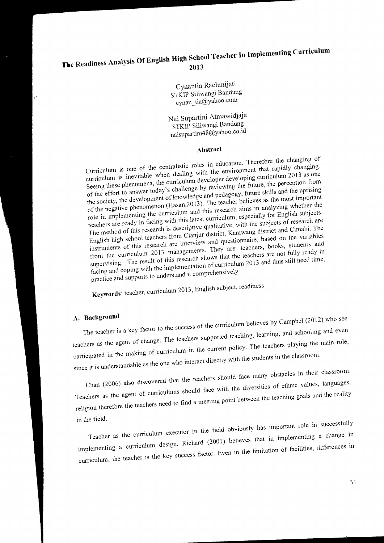# The Readiness Analysis Of English High School Teacher In Implementing Curriculum 2013

Cynantia Rachmijati STKIP Siliwangi Bandung cynan\_tia@yahoo.com

Nai Supartini Atmawidjaja STKIP Siliwangi Bandung naisupartini48@yahoo.co.id

### Abstract

Curriculum is one of the centralistic roles in education. Therefore the changing of curriculum is inevitable when dealing with the environment that rapidly changing. Seeing these phenomena, the curriculum developer developing curriculum 2013 as one of the effort to answer today's challenge by reviewing the future, the perception from the society, the development of knowledge and pedagogy, future skills and the uprising of the negative phenomenon (Hasan, 2013). The teacher believes as the most important role in implementing the curriculum and this research aims in analyzing whether the the contract of the contract of the contract of the contract of the contract of the contract of the contract of the contract of the contract of the contract of the contract of the contract of the contract of the contract o The method of this research is descriptive qualitative, with the subjects of research are English high school teachers from Cianjur district, Karawang district and Cimahi. The instruments of this research are interview and questionnaire, based on the variables from the curriculum 2013 managements. They are: teachers, books, students and supervising. The result of this research shows that the teachers are not fully ready in facing and coping with the implementation of curriculum 2013 and thus still need time, practice and supports to understand it comprehensively.

Keywords: teacher, curriculum 2013, English subject, readiness

### A. Background

The teacher is a key factor to the success of the curriculum believes by Campbel (2012) who see teachers as the agent of change. The teachers supported teaching, learning, and schooling and even participated in the making of curriculum in the current policy. The teachers playing the main role, since it is understandable as the one who interact directly with the students in the classroom.

Chan (2006) also discovered that the teachers should face many obstacles in their classroom. Teachers as the agent of curriculums should face with the diversities of ethnic values, languages, religion therefore the teachers need to find a meeting point between the teaching goals and the reality in the field.

Teacher as the curriculum executor in the field obviously has important role in successfully implementing a curriculum design. Richard (2001) believes that in implementing a change in curriculum, the teacher is the key success factor. Even in the limitation of facilities, differences in